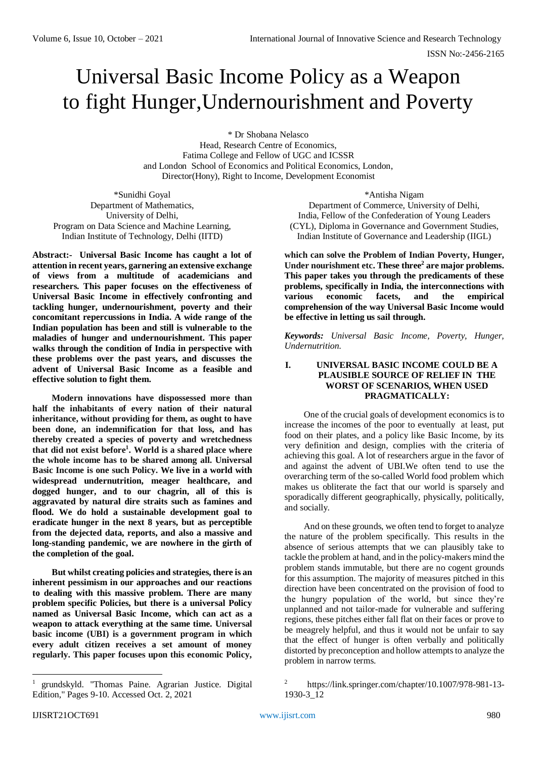# Universal Basic Income Policy as a Weapon to fight Hunger,Undernourishment and Poverty

\* Dr Shobana Nelasco Head, Research Centre of Economics, Fatima College and Fellow of UGC and ICSSR and London School of Economics and Political Economics, London, Director(Hony), Right to Income, Development Economist

\*Sunidhi Goyal Department of Mathematics, University of Delhi, Program on Data Science and Machine Learning, Indian Institute of Technology, Delhi (IITD)

**Abstract:- Universal Basic Income has caught a lot of attention in recent years, garnering an extensive exchange of views from a multitude of academicians and researchers. This paper focuses on the effectiveness of Universal Basic Income in effectively confronting and tackling hunger, undernourishment, poverty and their concomitant repercussions in India. A wide range of the Indian population has been and still is vulnerable to the maladies of hunger and undernourishment. This paper walks through the condition of India in perspective with these problems over the past years, and discusses the advent of Universal Basic Income as a feasible and effective solution to fight them.** 

**Modern innovations have dispossessed more than half the inhabitants of every nation of their natural inheritance, without providing for them, as ought to have been done, an indemnification for that loss, and has thereby created a species of poverty and wretchedness that did not exist before<sup>1</sup> . World is a shared place where the whole income has to be shared among all. Universal Basic Income is one such Policy. We live in a world with widespread undernutrition, meager healthcare, and dogged hunger, and to our chagrin, all of this is aggravated by natural dire straits such as famines and flood. We do hold a sustainable development goal to eradicate hunger in the next 8 years, but as perceptible from the dejected data, reports, and also a massive and long-standing pandemic, we are nowhere in the girth of the completion of the goal.** 

**But whilst creating policies and strategies, there is an inherent pessimism in our approaches and our reactions to dealing with this massive problem. There are many problem specific Policies, but there is a universal Policy named as Universal Basic Income, which can act as a weapon to attack everything at the same time. Universal basic income (UBI) is a government program in which every adult citizen receives a set amount of money regularly. This paper focuses upon this economic Policy,** 

\*Antisha Nigam Department of Commerce, University of Delhi, India, Fellow of the Confederation of Young Leaders (CYL), Diploma in Governance and Government Studies, Indian Institute of Governance and Leadership (IIGL)

**which can solve the Problem of Indian Poverty, Hunger, Under nourishment etc. These three<sup>2</sup> are major problems. This paper takes you through the predicaments of these problems, specifically in India, the interconnections with various economic facets, and the empirical comprehension of the way Universal Basic Income would be effective in letting us sail through.** 

*Keywords: Universal Basic Income, Poverty, Hunger, Undernutrition.* 

## **I. UNIVERSAL BASIC INCOME COULD BE A PLAUSIBLE SOURCE OF RELIEF IN THE WORST OF SCENARIOS, WHEN USED PRAGMATICALLY:**

One of the crucial goals of development economics is to increase the incomes of the poor to eventually at least, put food on their plates, and a policy like Basic Income, by its very definition and design, complies with the criteria of achieving this goal. A lot of researchers argue in the favor of and against the advent of UBI.We often tend to use the overarching term of the so-called World food problem which makes us obliterate the fact that our world is sparsely and sporadically different geographically, physically, politically, and socially.

And on these grounds, we often tend to forget to analyze the nature of the problem specifically. This results in the absence of serious attempts that we can plausibly take to tackle the problem at hand, and in the policy-makers mind the problem stands immutable, but there are no cogent grounds for this assumption. The majority of measures pitched in this direction have been concentrated on the provision of food to the hungry population of the world, but since they're unplanned and not tailor-made for vulnerable and suffering regions, these pitches either fall flat on their faces or prove to be meagrely helpful, and thus it would not be unfair to say that the effect of hunger is often verbally and politically distorted by preconception and hollow attempts to analyze the problem in narrow terms.

<sup>1</sup> grundskyld. "Thomas Paine. Agrarian Justice. Digital Edition," Pages 9-10. Accessed Oct. 2, 2021

<sup>2</sup> https://link.springer.com/chapter/10.1007/978-981-13- 1930-3\_12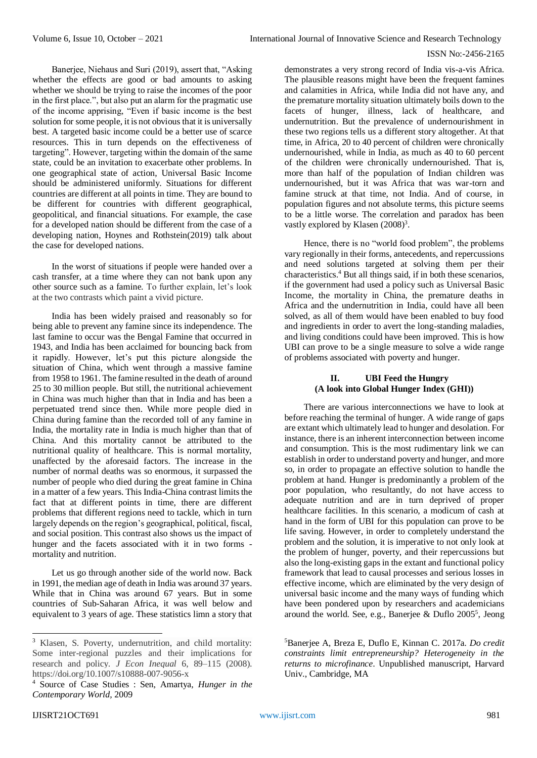Banerjee, Niehaus and Suri (2019), assert that, "Asking whether the effects are good or bad amounts to asking whether we should be trying to raise the incomes of the poor in the first place.", but also put an alarm for the pragmatic use of the income apprising, "Even if basic income is the best solution for some people, it is not obvious that it is universally best. A targeted basic income could be a better use of scarce resources. This in turn depends on the effectiveness of targeting". However, targeting within the domain of the same state, could be an invitation to exacerbate other problems. In one geographical state of action, Universal Basic Income should be administered uniformly. Situations for different countries are different at all points in time. They are bound to be different for countries with different geographical, geopolitical, and financial situations. For example, the case for a developed nation should be different from the case of a developing nation, Hoynes and Rothstein(2019) talk about the case for developed nations.

In the worst of situations if people were handed over a cash transfer, at a time where they can not bank upon any other source such as a famine. To further explain, let's look at the two contrasts which paint a vivid picture.

India has been widely praised and reasonably so for being able to prevent any famine since its independence. The last famine to occur was the Bengal Famine that occurred in 1943, and India has been acclaimed for bouncing back from it rapidly. However, let's put this picture alongside the situation of China, which went through a massive famine from 1958 to 1961. The famine resulted in the death of around 25 to 30 million people. But still, the nutritional achievement in China was much higher than that in India and has been a perpetuated trend since then. While more people died in China during famine than the recorded toll of any famine in India, the mortality rate in India is much higher than that of China. And this mortality cannot be attributed to the nutritional quality of healthcare. This is normal mortality, unaffected by the aforesaid factors. The increase in the number of normal deaths was so enormous, it surpassed the number of people who died during the great famine in China in a matter of a few years. This India-China contrast limits the fact that at different points in time, there are different problems that different regions need to tackle, which in turn largely depends on the region's geographical, political, fiscal, and social position. This contrast also shows us the impact of hunger and the facets associated with it in two forms mortality and nutrition.

Let us go through another side of the world now. Back in 1991, the median age of death in India was around 37 years. While that in China was around 67 years. But in some countries of Sub-Saharan Africa, it was well below and equivalent to 3 years of age. These statistics limn a story that demonstrates a very strong record of India vis-a-vis Africa. The plausible reasons might have been the frequent famines and calamities in Africa, while India did not have any, and the premature mortality situation ultimately boils down to the facets of hunger, illness, lack of healthcare, and undernutrition. But the prevalence of undernourishment in these two regions tells us a different story altogether. At that time, in Africa, 20 to 40 percent of children were chronically undernourished, while in India, as much as 40 to 60 percent of the children were chronically undernourished. That is, more than half of the population of Indian children was undernourished, but it was Africa that was war-torn and famine struck at that time, not India. And of course, in population figures and not absolute terms, this picture seems to be a little worse. The correlation and paradox has been vastly explored by Klasen (2008)<sup>3</sup>.

Hence, there is no "world food problem", the problems vary regionally in their forms, antecedents, and repercussions and need solutions targeted at solving them per their characteristics.<sup>4</sup> But all things said, if in both these scenarios, if the government had used a policy such as Universal Basic Income, the mortality in China, the premature deaths in Africa and the undernutrition in India, could have all been solved, as all of them would have been enabled to buy food and ingredients in order to avert the long-standing maladies, and living conditions could have been improved. This is how UBI can prove to be a single measure to solve a wide range of problems associated with poverty and hunger.

## **II. UBI Feed the Hungry (A look into Global Hunger Index (GHI))**

There are various interconnections we have to look at before reaching the terminal of hunger. A wide range of gaps are extant which ultimately lead to hunger and desolation. For instance, there is an inherent interconnection between income and consumption. This is the most rudimentary link we can establish in order to understand poverty and hunger, and more so, in order to propagate an effective solution to handle the problem at hand. Hunger is predominantly a problem of the poor population, who resultantly, do not have access to adequate nutrition and are in turn deprived of proper healthcare facilities. In this scenario, a modicum of cash at hand in the form of UBI for this population can prove to be life saving. However, in order to completely understand the problem and the solution, it is imperative to not only look at the problem of hunger, poverty, and their repercussions but also the long-existing gaps in the extant and functional policy framework that lead to causal processes and serious losses in effective income, which are eliminated by the very design of universal basic income and the many ways of funding which have been pondered upon by researchers and academicians around the world. See, e.g., Banerjee & Duflo 2005<sup>5</sup> , Jeong

<sup>5</sup>Banerjee A, Breza E, Duflo E, Kinnan C. 2017a. *Do credit constraints limit entrepreneurship? Heterogeneity in the returns to microfinance*. Unpublished manuscript, Harvard Univ., Cambridge, MA

<sup>3</sup> Klasen, S. Poverty, undernutrition, and child mortality: Some inter-regional puzzles and their implications for research and policy. *J Econ Inequal* 6, 89–115 (2008). https://doi.org/10.1007/s10888-007-9056-x

<sup>4</sup> Source of Case Studies : Sen, Amartya, *Hunger in the Contemporary World,* 2009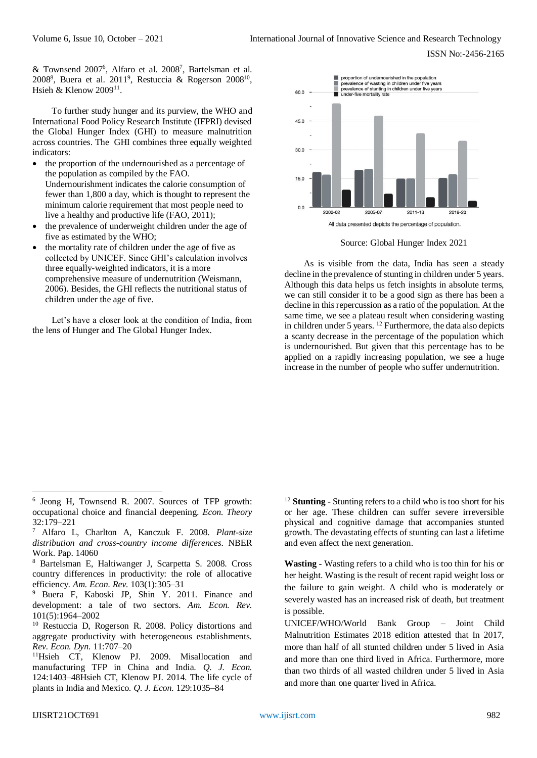& Townsend 2007<sup>6</sup> , Alfaro et al. 2008<sup>7</sup> , Bartelsman et al. 2008<sup>8</sup>, Buera et al. 2011<sup>9</sup>, Restuccia & Rogerson 2008<sup>10</sup>, Hsieh & Klenow  $2009^{11}$ .

To further study hunger and its purview, the WHO and International Food Policy Research Institute (IFPRI) devised the Global Hunger Index (GHI) to measure malnutrition across countries. The GHI combines three equally weighted indicators:

- the proportion of the undernourished as a percentage of the population as compiled by the FAO. Undernourishment indicates the calorie consumption of fewer than 1,800 a day, which is thought to represent the minimum calorie requirement that most people need to live a healthy and productive life (FAO, 2011);
- the prevalence of underweight children under the age of five as estimated by the WHO;
- the mortality rate of children under the age of five as collected by UNICEF. Since GHI's calculation involves three equally-weighted indicators, it is a more comprehensive measure of undernutrition (Weismann, 2006). Besides, the GHI reflects the nutritional status of children under the age of five.

Let's have a closer look at the condition of India, from the lens of Hunger and The Global Hunger Index.



Source: Global Hunger Index 2021

As is visible from the data, India has seen a steady decline in the prevalence of stunting in children under 5 years. Although this data helps us fetch insights in absolute terms, we can still consider it to be a good sign as there has been a decline in this repercussion as a ratio of the population. At the same time, we see a plateau result when considering wasting in children under 5 years. <sup>12</sup> Furthermore, the data also depicts a scanty decrease in the percentage of the population which is undernourished. But given that this percentage has to be applied on a rapidly increasing population, we see a huge increase in the number of people who suffer undernutrition.

<sup>12</sup> **Stunting -** Stunting refers to a child who is too short for his or her age. These children can suffer severe irreversible physical and cognitive damage that accompanies stunted growth. The devastating effects of stunting can last a lifetime and even affect the next generation.

**Wasting -** Wasting refers to a child who is too thin for his or her height. Wasting is the result of recent rapid weight loss or the failure to gain weight. A child who is moderately or severely wasted has an increased risk of death, but treatment is possible.

UNICEF/WHO/World Bank Group – Joint Child Malnutrition Estimates 2018 edition attested that In 2017, more than half of all stunted children under 5 lived in Asia and more than one third lived in Africa. Furthermore, more than two thirds of all wasted children under 5 lived in Asia and more than one quarter lived in Africa.

<sup>6</sup> Jeong H, Townsend R. 2007. Sources of TFP growth: occupational choice and financial deepening. *Econ. Theory*  32:179–221

<sup>7</sup> Alfaro L, Charlton A, Kanczuk F. 2008. *Plant-size distribution and cross-country income differences*. NBER Work. Pap. 14060

<sup>8</sup> Bartelsman E, Haltiwanger J, Scarpetta S. 2008. Cross country differences in productivity: the role of allocative efficiency. *Am. Econ. Rev.* 103(1):305–31

<sup>9</sup> Buera F, Kaboski JP, Shin Y. 2011. Finance and development: a tale of two sectors. *Am. Econ. Rev.*  101(5):1964–2002

<sup>10</sup> Restuccia D, Rogerson R. 2008. Policy distortions and aggregate productivity with heterogeneous establishments. *Rev. Econ. Dyn.* 11:707–20

<sup>11</sup>Hsieh CT, Klenow PJ. 2009. Misallocation and manufacturing TFP in China and India. *Q. J. Econ.*  124:1403–48Hsieh CT, Klenow PJ. 2014. The life cycle of plants in India and Mexico. *Q. J. Econ.* 129:1035–84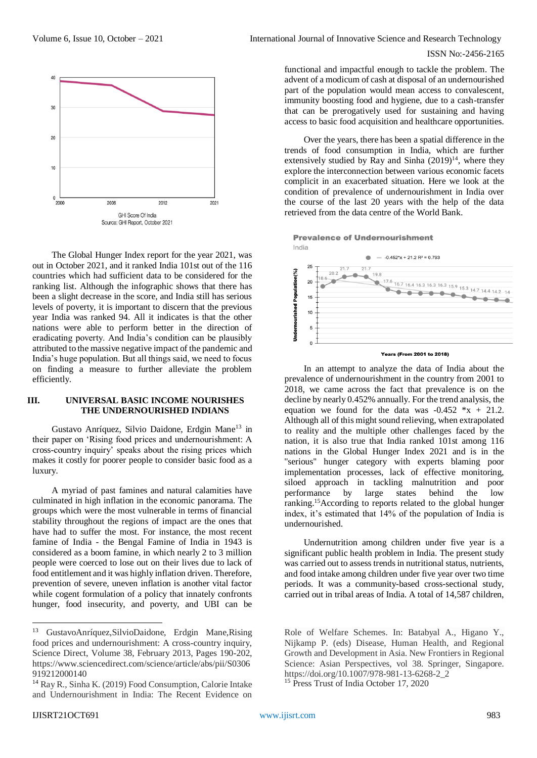

The Global Hunger Index report for the year 2021, was out in October 2021, and it ranked India 101st out of the 116 countries which had sufficient data to be considered for the ranking list. Although the infographic shows that there has been a slight decrease in the score, and India still has serious levels of poverty, it is important to discern that the previous year India was ranked 94. All it indicates is that the other nations were able to perform better in the direction of eradicating poverty. And India's condition can be plausibly attributed to the massive negative impact of the pandemic and India's huge population. But all things said, we need to focus on finding a measure to further alleviate the problem efficiently.

#### **III. UNIVERSAL BASIC INCOME NOURISHES THE UNDERNOURISHED INDIANS**

[Gustavo Anríquez, Silvio Daidone, Erdgin Mane](https://www.sciencedirect.com/science/article/abs/pii/S0306919212000140#!)<sup>13</sup> in their paper on 'Rising food prices and undernourishment: A cross-country inquiry' speaks about the rising prices which makes it costly for poorer people to consider basic food as a luxury.

A myriad of past famines and natural calamities have culminated in high inflation in the economic panorama. The groups which were the most vulnerable in terms of financial stability throughout the regions of impact are the ones that have had to suffer the most. For instance, the most recent famine of India - the Bengal Famine of India in 1943 is considered as a boom famine, in which nearly 2 to 3 million people were coerced to lose out on their lives due to lack of food entitlement and it was highly inflation driven. Therefore, prevention of severe, uneven inflation is another vital factor while cogent formulation of a policy that innately confronts hunger, food insecurity, and poverty, and UBI can be

functional and impactful enough to tackle the problem. The advent of a modicum of cash at disposal of an undernourished part of the population would mean access to convalescent, immunity boosting food and hygiene, due to a cash-transfer that can be prerogatively used for sustaining and having access to basic food acquisition and healthcare opportunities.

Over the years, there has been a spatial difference in the trends of food consumption in India, which are further extensively studied by Ray and Sinha  $(2019)^{14}$ , where they explore the interconnection between various economic facets complicit in an exacerbated situation. Here we look at the condition of prevalence of undernourishment in India over the course of the last 20 years with the help of the data retrieved from the data centre of the World Bank.

**Prevalence of Undernourishment** India



**Years (From 2001 to 2018)** 

In an attempt to analyze the data of India about the prevalence of undernourishment in the country from 2001 to 2018, we came across the fact that prevalence is on the decline by nearly 0.452% annually. For the trend analysis, the equation we found for the data was  $-0.452 \times x + 21.2$ . Although all of this might sound relieving, when extrapolated to reality and the multiple other challenges faced by the nation, it is also true that India ranked 101st among 116 nations in the Global Hunger Index 2021 and is in the ''serious'' hunger category with experts blaming poor implementation processes, lack of effective monitoring, siloed approach in tackling malnutrition and poor performance by large states behind the low ranking.<sup>15</sup>According to reports related to the global hunger index, it's estimated that 14% of the population of India is undernourished.

Undernutrition among children under five year is a significant public health problem in India. The present study was carried out to assess trends in nutritional status, nutrients, and food intake among children under five year over two time periods. It was a community-based cross-sectional study, carried out in tribal areas of India. A total of 14,587 children,

<sup>15</sup> Press Trust of India October 17, 2020

<sup>13</sup> [GustavoAnríquez,SilvioDaidone, Erdgin Mane,](https://www.sciencedirect.com/science/article/abs/pii/S0306919212000140#!)Rising food prices and undernourishment: A cross-country inquiry, Science Direct, [Volume 38,](https://www.sciencedirect.com/science/journal/03069192/38/supp/C) February 2013, Pages 190-202, https://www.sciencedirect.com/science/article/abs/pii/S0306 919212000140

<sup>14</sup> Ray R., Sinha K. (2019) Food Consumption, Calorie Intake and Undernourishment in India: The Recent Evidence on

Role of Welfare Schemes. In: Batabyal A., Higano Y., Nijkamp P. (eds) Disease, Human Health, and Regional Growth and Development in Asia. New Frontiers in Regional Science: Asian Perspectives, vol 38. Springer, Singapore. https://doi.org/10.1007/978-981-13-6268-2\_2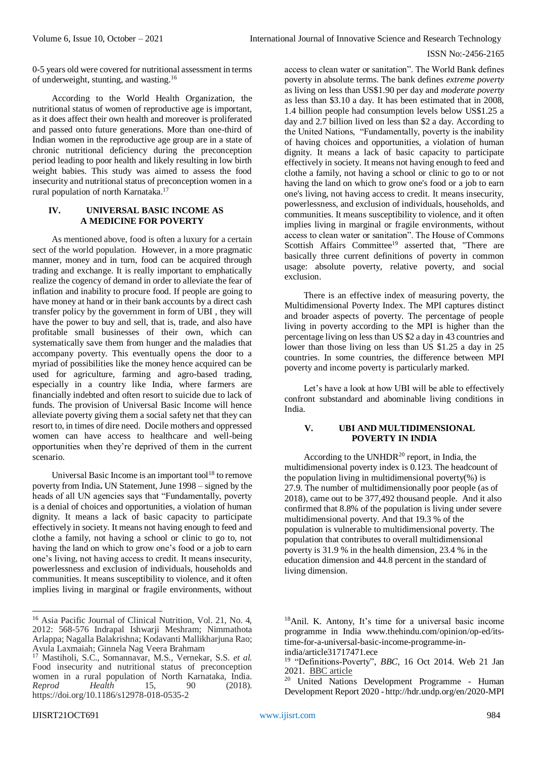0-5 years old were covered for nutritional assessment in terms of underweight, stunting, and wasting.<sup>16</sup>

According to the World Health Organization, the nutritional status of women of reproductive age is important, as it does affect their own health and moreover is proliferated and passed onto future generations. More than one-third of Indian women in the reproductive age group are in a state of chronic nutritional deficiency during the preconception period leading to poor health and likely resulting in low birth weight babies. This study was aimed to assess the food insecurity and nutritional status of preconception women in a rural population of north Karnataka.<sup>17</sup>

## **IV. UNIVERSAL BASIC INCOME AS A MEDICINE FOR POVERTY**

As mentioned above, food is often a luxury for a certain sect of the world population. However, in a more pragmatic manner, money and in turn, food can be acquired through trading and exchange. It is really important to emphatically realize the cogency of demand in order to alleviate the fear of inflation and inability to procure food. If people are going to have money at hand or in their bank accounts by a direct cash transfer policy by the government in form of UBI , they will have the power to buy and sell, that is, trade, and also have profitable small businesses of their own, which can systematically save them from hunger and the maladies that accompany poverty. This eventually opens the door to a myriad of possibilities like the money hence acquired can be used for agriculture, farming and agro-based trading, especially in a country like India, where farmers are financially indebted and often resort to suicide due to lack of funds. The provision of Universal Basic Income will hence alleviate poverty giving them a social safety net that they can resort to, in times of dire need. Docile mothers and oppressed women can have access to healthcare and well-being opportunities when they're deprived of them in the current scenario.

Universal Basic Income is an important tool $18$  to remove poverty from India**.** UN Statement, June 1998 – signed by the heads of all UN agencies says that "Fundamentally, poverty is a denial of choices and opportunities, a violation of human dignity. It means a lack of basic capacity to participate effectively in society. It means not having enough to feed and clothe a family, not having a school or clinic to go to, not having the land on which to grow one's food or a job to earn one's living, not having access to credit. It means insecurity, powerlessness and exclusion of individuals, households and communities. It means susceptibility to violence, and it often implies living in marginal or fragile environments, without

access to clean water or sanitation". The World Bank defines poverty in absolute terms. The bank defines *[extreme poverty](https://en.wikipedia.org/wiki/Extreme_poverty)* as living on less than US\$1.90 per day and *moderate poverty* as less than \$3.10 a day. It has been estimated that in 2008, 1.4 billion people had consumption levels below US\$1.25 a day and 2.7 billion lived on less than \$2 a day. According to the United Nations, "Fundamentally, poverty is the inability of having choices and opportunities, a violation of human dignity. It means a lack of basic capacity to participate effectively in society. It means not having enough to feed and clothe a family, not having a school or clinic to go to or not having the land on which to grow one's food or a job to earn one's living, not having access to credit. It means insecurity, powerlessness, and exclusion of individuals, households, and communities. It means susceptibility to violence, and it often implies living in marginal or fragile environments, without access to clean water or sanitation". The House of Commons Scottish Affairs Committee<sup>19</sup> asserted that, "There are basically three current definitions of poverty in common usage: absolute poverty, relative poverty, and social exclusion.

There is an effective index of measuring poverty, the Multidimensional Poverty Index. The MPI captures distinct and broader aspects of poverty. The percentage of people living in poverty according to the MPI is higher than the percentage living on less than US \$2 a day in 43 countries and lower than those living on less than US \$1.25 a day in 25 countries. In some countries, the difference between MPI poverty and income poverty is particularly marked.

Let's have a look at how UBI will be able to effectively confront substandard and abominable living conditions in India.

## **V. UBI AND MULTIDIMENSIONAL POVERTY IN INDIA**

According to the UNHDR $^{20}$  report, in India, the multidimensional poverty index is 0.123. The headcount of the population living in multidimensional poverty(%) is 27.9. The number of multidimensionally poor people (as of 2018), came out to be 377,492 thousand people. And it also confirmed that 8.8% of the population is living under severe multidimensional poverty. And that 19.3 % of the population is vulnerable to multidimensional poverty. The population that contributes to overall multidimensional poverty is 31.9 % in the health dimension, 23.4 % in the education dimension and 44.8 percent in the standard of living dimension.

<sup>-</sup><sup>16</sup> Asia Pacific Journal of Clinical Nutrition, Vol. 21, No. 4, 2012: 568-576 [Indrapal Ishwarji Meshram;](https://search.informit.org/doi/10.3316/INFORMIT.806051945397823%23) [Nimmathota](https://search.informit.org/doi/10.3316/INFORMIT.806051945397823%23)  [Arlappa; Nagalla Balakrishna; Kodavanti Mallikharjuna Rao;](https://search.informit.org/doi/10.3316/INFORMIT.806051945397823%23) [Avula Laxmaiah; Ginnela Nag Veera Brahmam](https://search.informit.org/doi/10.3316/INFORMIT.806051945397823%23)

<sup>17</sup> Mastiholi, S.C., Somannavar, M.S., Vernekar, S.S. *et al.* Food insecurity and nutritional status of preconception women in a rural population of North Karnataka, India. *Reprod Health* 15, 90 (2018). https://doi.org/10.1186/s12978-018-0535-2

<sup>18</sup>Anil. K. Antony, It's time for a universal basic income programme in India www.thehindu.com/opinion/op-ed/itstime-for-a-universal-basic-income-programme-in-

india/article31717471.ece

<sup>19</sup> "Definitions-Poverty", *BBC,* 16 Oct 2014. Web 21 Jan 2021. [BBC article](https://www.bbc.co.uk/scotland/education/ms/wealth/def_of_poverty/definitions.shtml#:~:text=%22There%20are%20basically%20three%20current,in%20relation%20to%20the%20average.) 

<sup>20</sup> United Nations Development Programme - Human Development Report 2020 - http://hdr.undp.org/en/2020-MPI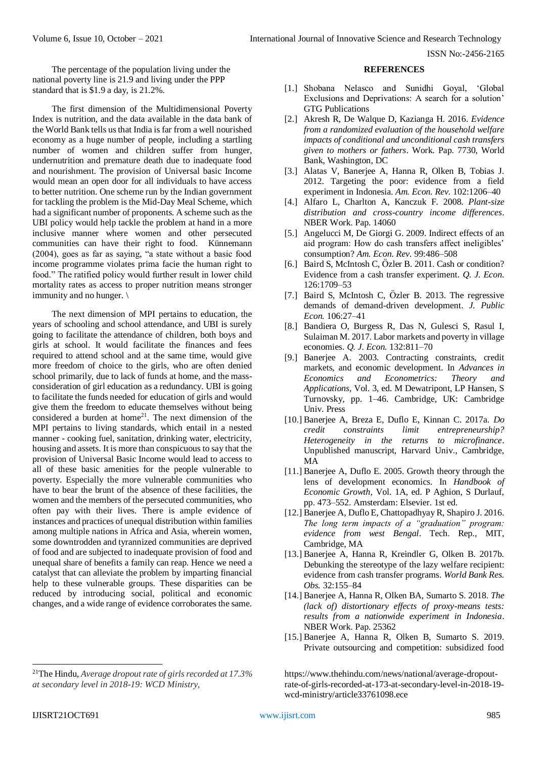The percentage of the population living under the national poverty line is 21.9 and living under the PPP standard that is \$1.9 a day, is 21.2%.

The first dimension of the Multidimensional Poverty Index is nutrition, and the data available in the data bank of the World Bank tells us that India is far from a well nourished economy as a huge number of people, including a startling number of women and children suffer from hunger, undernutrition and premature death due to inadequate food and nourishment. The provision of Universal basic Income would mean an open door for all individuals to have access to better nutrition. One scheme run by the Indian government for tackling the problem is the Mid-Day Meal Scheme, which had a significant number of proponents. A scheme such as the UBI policy would help tackle the problem at hand in a more inclusive manner where women and other persecuted communities can have their right to food. Künnemann (2004), goes as far as saying, "a state without a basic food income programme violates prima facie the human right to food." The ratified policy would further result in lower child mortality rates as access to proper nutrition means stronger immunity and no hunger. \

The next dimension of MPI pertains to education, the years of schooling and school attendance, and UBI is surely going to facilitate the attendance of children, both boys and girls at school. It would facilitate the finances and fees required to attend school and at the same time, would give more freedom of choice to the girls, who are often denied school primarily, due to lack of funds at home, and the massconsideration of girl education as a redundancy. UBI is going to facilitate the funds needed for education of girls and would give them the freedom to educate themselves without being considered a burden at home<sup>21</sup>. The next dimension of the MPI pertains to living standards, which entail in a nested manner - cooking fuel, sanitation, drinking water, electricity, housing and assets. It is more than conspicuous to say that the provision of Universal Basic Income would lead to access to all of these basic amenities for the people vulnerable to poverty. Especially the more vulnerable communities who have to bear the brunt of the absence of these facilities, the women and the members of the persecuted communities, who often pay with their lives. There is ample evidence of instances and practices of unequal distribution within families among multiple nations in Africa and Asia, wherein women, some downtrodden and tyrannized communities are deprived of food and are subjected to inadequate provision of food and unequal share of benefits a family can reap. Hence we need a catalyst that can alleviate the problem by imparting financial help to these vulnerable groups. These disparities can be reduced by introducing social, political and economic changes, and a wide range of evidence corroborates the same.

#### **REFERENCES**

- [1.] Shobana Nelasco and Sunidhi Goyal, 'Global Exclusions and Deprivations: A search for a solution' GTG Publications
- [2.] Akresh R, De Walque D, Kazianga H. 2016. *Evidence from a randomized evaluation of the household welfare impacts of conditional and unconditional cash transfers given to mothers or fathers*. Work. Pap. 7730, World Bank, Washington, DC
- [3.] Alatas V, Banerjee A, Hanna R, Olken B, Tobias J. 2012. Targeting the poor: evidence from a field experiment in Indonesia. *Am. Econ. Rev.* 102:1206–40
- [4.] Alfaro L, Charlton A, Kanczuk F. 2008. *Plant-size distribution and cross-country income differences*. NBER Work. Pap. 14060
- [5.] Angelucci M, De Giorgi G. 2009. Indirect effects of an aid program: How do cash transfers affect ineligibles' consumption? *Am. Econ. Rev.* 99:486–508
- [6.] Baird S, McIntosh C, Özler B. 2011. Cash or condition? Evidence from a cash transfer experiment. *Q. J. Econ.*  126:1709–53
- [7.] Baird S, McIntosh C, Özler B. 2013. The regressive demands of demand-driven development. *J. Public Econ.* 106:27–41
- [8.] Bandiera O, Burgess R, Das N, Gulesci S, Rasul I, Sulaiman M. 2017. Labor markets and poverty in village economies. *Q. J. Econ.* 132:811–70
- [9.] Banerjee A. 2003. Contracting constraints, credit markets, and economic development. In *Advances in Economics and Econometrics: Theory and Applications*, Vol. 3, ed. M Dewatripont, LP Hansen, S Turnovsky, pp. 1–46. Cambridge, UK: Cambridge Univ. Press
- [10.] Banerjee A, Breza E, Duflo E, Kinnan C. 2017a. *Do credit constraints limit entrepreneurship? Heterogeneity in the returns to microfinance*. Unpublished manuscript, Harvard Univ., Cambridge, MA
- [11.] Banerjee A, Duflo E. 2005. Growth theory through the lens of development economics. In *Handbook of Economic Growth*, Vol. 1A, ed. P Aghion, S Durlauf, pp. 473–552. Amsterdam: Elsevier. 1st ed.
- [12.] Banerjee A, Duflo E, Chattopadhyay R, Shapiro J. 2016. *The long term impacts of a "graduation" program: evidence from west Bengal*. Tech. Rep., MIT, Cambridge, MA
- [13.] Banerjee A, Hanna R, Kreindler G, Olken B. 2017b. Debunking the stereotype of the lazy welfare recipient: evidence from cash transfer programs. *World Bank Res. Obs.* 32:155–84
- [14.] Banerjee A, Hanna R, Olken BA, Sumarto S. 2018. *The (lack of) distortionary effects of proxy-means tests: results from a nationwide experiment in Indonesia*. NBER Work. Pap. 25362
- [15.] Banerjee A, Hanna R, Olken B, Sumarto S. 2019. Private outsourcing and competition: subsidized food

<sup>21</sup>The Hindu, *Average dropout rate of girls recorded at 17.3% at secondary level in 2018-19: WCD Ministry,* 

https://www.thehindu.com/news/national/average-dropoutrate-of-girls-recorded-at-173-at-secondary-level-in-2018-19 wcd-ministry/article33761098.ece